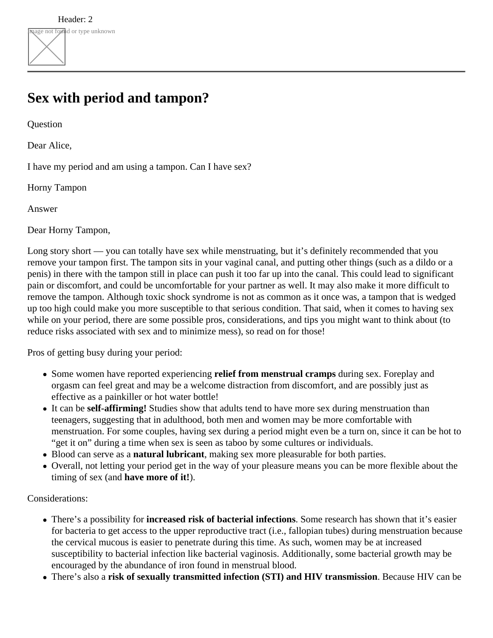## **Sex with period and tampon?**

**Question** 

Dear Alice,

I have my period and am using a tampon. Can I have sex?

Horny Tampon

Answer

Dear Horny Tampon,

Long story short — you can totally have sex while menstruating, but it's definitely recommended that you remove your tampon first. The tampon sits in your vaginal canal, and putting other things (such as a dildo or a penis) in there with the tampon still in place can push it too far up into the canal. This could lead to significant pain or discomfort, and could be uncomfortable for your partner as well. It may also make it more difficult to remove the tampon. Although toxic shock syndrome is not as common as it once was, a tampon that is wedged up too high could make you more susceptible to that serious condition. That said, when it comes to having sex while on your period, there are some possible pros, considerations, and tips you might want to think about (to reduce risks associated with sex and to minimize mess), so read on for those!

Pros of getting busy during your period:

- Some women have reported experiencing **relief from menstrual cramps** during sex. Foreplay and orgasm can feel great and may be a welcome distraction from discomfort, and are possibly just as effective as a painkiller or hot water bottle!
- It can be **self-affirming!** Studies show that adults tend to have more sex during menstruation than teenagers, suggesting that in adulthood, both men and women may be more comfortable with menstruation. For some couples, having sex during a period might even be a turn on, since it can be hot to "get it on" during a time when sex is seen as taboo by some cultures or individuals.
- Blood can serve as a **natural lubricant**, making sex more pleasurable for both parties.
- Overall, not letting your period get in the way of your pleasure means you can be more flexible about the timing of sex (and **have more of it!**).

## Considerations:

- There's a possibility for **increased risk of bacterial infections**. Some research has shown that it's easier for bacteria to get access to the upper reproductive tract (i.e., fallopian tubes) during menstruation because the cervical mucous is easier to penetrate during this time. As such, women may be at increased susceptibility to bacterial infection like bacterial vaginosis. Additionally, some bacterial growth may be encouraged by the abundance of iron found in menstrual blood.
- There's also a **risk of sexually transmitted infection (STI) and HIV transmission**. Because HIV can be